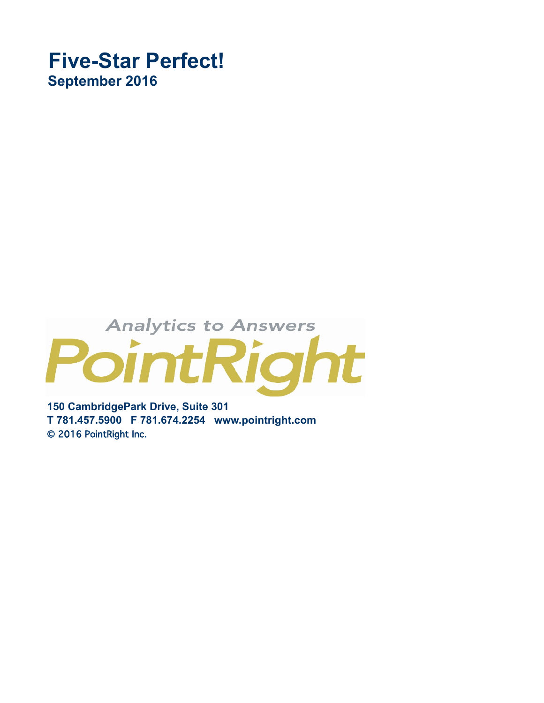## **Five-Star Perfect! September 2016**

## **Analytics to Answers** PointRight

**150 CambridgePark Drive, Suite 301 T 781.457.5900 F 781.674.2254 www.pointright.com** © 2016 PointRight Inc.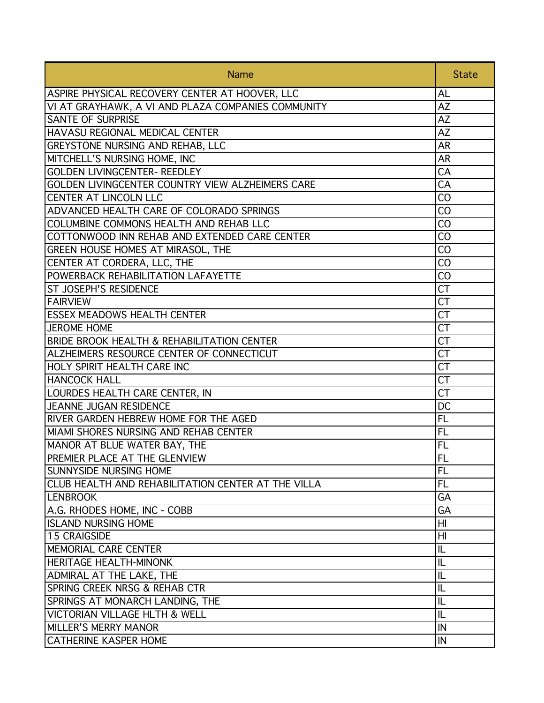| <b>Name</b>                                        | <b>State</b>   |
|----------------------------------------------------|----------------|
| ASPIRE PHYSICAL RECOVERY CENTER AT HOOVER, LLC     | AL             |
| VI AT GRAYHAWK, A VI AND PLAZA COMPANIES COMMUNITY | AZ             |
| <b>SANTE OF SURPRISE</b>                           | AZ             |
| HAVASU REGIONAL MEDICAL CENTER                     | <b>AZ</b>      |
| GREYSTONE NURSING AND REHAB, LLC                   | <b>AR</b>      |
| MITCHELL'S NURSING HOME, INC                       | <b>AR</b>      |
| <b>GOLDEN LIVINGCENTER- REEDLEY</b>                | CA             |
| GOLDEN LIVINGCENTER COUNTRY VIEW ALZHEIMERS CARE   | CA             |
| CENTER AT LINCOLN LLC                              | CO             |
| ADVANCED HEALTH CARE OF COLORADO SPRINGS           | CO             |
| COLUMBINE COMMONS HEALTH AND REHAB LLC             | CO             |
| COTTONWOOD INN REHAB AND EXTENDED CARE CENTER      | CO             |
| GREEN HOUSE HOMES AT MIRASOL, THE                  | CO             |
| CENTER AT CORDERA, LLC, THE                        | CO             |
| POWERBACK REHABILITATION LAFAYETTE                 | CO             |
| ST JOSEPH'S RESIDENCE                              | <b>CT</b>      |
| <b>FAIRVIEW</b>                                    | <b>CT</b>      |
| <b>ESSEX MEADOWS HEALTH CENTER</b>                 | CT             |
| <b>JEROME HOME</b>                                 | CT             |
| BRIDE BROOK HEALTH & REHABILITATION CENTER         | CT             |
| ALZHEIMERS RESOURCE CENTER OF CONNECTICUT          | <b>CT</b>      |
| HOLY SPIRIT HEALTH CARE INC                        | <b>CT</b>      |
| <b>HANCOCK HALL</b>                                | <b>CT</b>      |
| LOURDES HEALTH CARE CENTER, IN                     | <b>CT</b>      |
| <b>JEANNE JUGAN RESIDENCE</b>                      | DC             |
| RIVER GARDEN HEBREW HOME FOR THE AGED              | <b>FL</b>      |
| MIAMI SHORES NURSING AND REHAB CENTER              | <b>FL</b>      |
| MANOR AT BLUE WATER BAY, THE                       | <b>FL</b>      |
| PREMIER PLACE AT THE GLENVIEW                      | FL             |
| <b>SUNNYSIDE NURSING HOME</b>                      | <b>FL</b>      |
| CLUB HEALTH AND REHABILITATION CENTER AT THE VILLA | <b>FL</b>      |
| <b>LENBROOK</b>                                    | GA             |
| A.G. RHODES HOME, INC - COBB                       | GA             |
| <b>ISLAND NURSING HOME</b>                         | H <sub>l</sub> |
| 15 CRAIGSIDE                                       | $\overline{H}$ |
| MEMORIAL CARE CENTER                               | IL             |
| <b>HERITAGE HEALTH-MINONK</b>                      | IL             |
| ADMIRAL AT THE LAKE, THE                           | IL             |
| <b>SPRING CREEK NRSG &amp; REHAB CTR</b>           | IL             |
| SPRINGS AT MONARCH LANDING, THE                    | IL             |
| <b>VICTORIAN VILLAGE HLTH &amp; WELL</b>           | IL             |
| <b>MILLER'S MERRY MANOR</b>                        | IN             |
| <b>CATHERINE KASPER HOME</b>                       | IN             |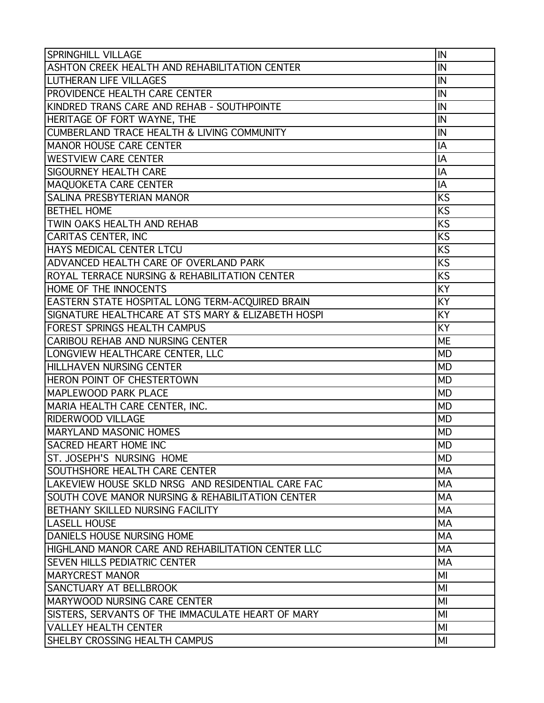| <b>SPRINGHILL VILLAGE</b>                             | IN              |
|-------------------------------------------------------|-----------------|
| ASHTON CREEK HEALTH AND REHABILITATION CENTER         | IN              |
| <b>LUTHERAN LIFE VILLAGES</b>                         | IN              |
| <b>PROVIDENCE HEALTH CARE CENTER</b>                  | IN              |
| KINDRED TRANS CARE AND REHAB - SOUTHPOINTE            | İN              |
| HERITAGE OF FORT WAYNE, THE                           | IN              |
| <b>CUMBERLAND TRACE HEALTH &amp; LIVING COMMUNITY</b> | IN              |
| <b>MANOR HOUSE CARE CENTER</b>                        | IA              |
| <b>WESTVIEW CARE CENTER</b>                           | IA              |
| SIGOURNEY HEALTH CARE                                 | IA              |
| MAQUOKETA CARE CENTER                                 | IA              |
| SALINA PRESBYTERIAN MANOR                             | <b>KS</b>       |
| <b>BETHEL HOME</b>                                    | KS              |
| TWIN OAKS HEALTH AND REHAB                            | KS              |
| CARITAS CENTER, INC                                   | <b>KS</b>       |
| HAYS MEDICAL CENTER LTCU                              | <b>KS</b>       |
| ADVANCED HEALTH CARE OF OVERLAND PARK                 | <b>KS</b>       |
| ROYAL TERRACE NURSING & REHABILITATION CENTER         | <b>KS</b>       |
| HOME OF THE INNOCENTS                                 | $\overline{KY}$ |
| EASTERN STATE HOSPITAL LONG TERM-ACQUIRED BRAIN       | KY              |
| SIGNATURE HEALTHCARE AT STS MARY & ELIZABETH HOSPI    | KY              |
| FOREST SPRINGS HEALTH CAMPUS                          | KY              |
| CARIBOU REHAB AND NURSING CENTER                      | <b>ME</b>       |
| LONGVIEW HEALTHCARE CENTER, LLC                       | <b>MD</b>       |
| HILLHAVEN NURSING CENTER                              | <b>MD</b>       |
| HERON POINT OF CHESTERTOWN                            | <b>MD</b>       |
| MAPLEWOOD PARK PLACE                                  | <b>MD</b>       |
| MARIA HEALTH CARE CENTER, INC.                        | <b>MD</b>       |
| <b>RIDERWOOD VILLAGE</b>                              | <b>MD</b>       |
| <b>MARYLAND MASONIC HOMES</b>                         | <b>MD</b>       |
| <b>SACRED HEART HOME INC</b>                          | MD              |
| ST. JOSEPH'S NURSING HOME                             | <b>MD</b>       |
| SOUTHSHORE HEALTH CARE CENTER                         | MA              |
| LAKEVIEW HOUSE SKLD NRSG AND RESIDENTIAL CARE FAC     | <b>MA</b>       |
| SOUTH COVE MANOR NURSING & REHABILITATION CENTER      | MA              |
| BETHANY SKILLED NURSING FACILITY                      | <b>MA</b>       |
| <b>LASELL HOUSE</b>                                   | <b>MA</b>       |
| <b>DANIELS HOUSE NURSING HOME</b>                     | <b>MA</b>       |
| HIGHLAND MANOR CARE AND REHABILITATION CENTER LLC     | <b>MA</b>       |
| <b>SEVEN HILLS PEDIATRIC CENTER</b>                   | <b>MA</b>       |
| <b>MARYCREST MANOR</b>                                | MI              |
| <b>SANCTUARY AT BELLBROOK</b>                         | MI              |
| MARYWOOD NURSING CARE CENTER                          | MI              |
| SISTERS, SERVANTS OF THE IMMACULATE HEART OF MARY     | MI              |
| <b>VALLEY HEALTH CENTER</b>                           | MI              |
| SHELBY CROSSING HEALTH CAMPUS                         | MI              |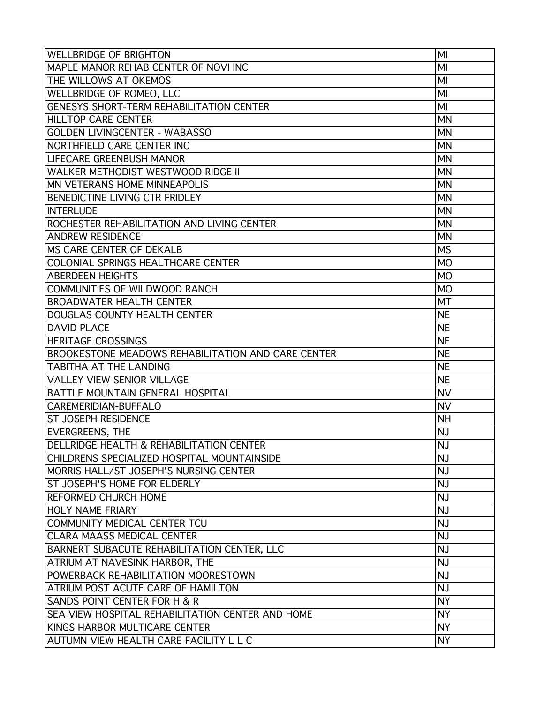| <b>WELLBRIDGE OF BRIGHTON</b>                             | MI             |
|-----------------------------------------------------------|----------------|
| MAPLE MANOR REHAB CENTER OF NOVI INC                      | MI             |
| THE WILLOWS AT OKEMOS                                     | MI             |
| <b>WELLBRIDGE OF ROMEO, LLC</b>                           | MI             |
| <b>GENESYS SHORT-TERM REHABILITATION CENTER</b>           | MI             |
| <b>HILLTOP CARE CENTER</b>                                | <b>MN</b>      |
| <b>GOLDEN LIVINGCENTER - WABASSO</b>                      | <b>MN</b>      |
| NORTHFIELD CARE CENTER INC                                | <b>MN</b>      |
| <b>LIFECARE GREENBUSH MANOR</b>                           | <b>MN</b>      |
| <b>WALKER METHODIST WESTWOOD RIDGE II</b>                 | <b>MN</b>      |
| MN VETERANS HOME MINNEAPOLIS                              | <b>MN</b>      |
| <b>BENEDICTINE LIVING CTR FRIDLEY</b>                     | <b>MN</b>      |
| INTERLUDE                                                 | <b>MN</b>      |
| ROCHESTER REHABILITATION AND LIVING CENTER                | <b>MN</b>      |
| <b>ANDREW RESIDENCE</b>                                   | <b>MN</b>      |
| <b>MS CARE CENTER OF DEKALB</b>                           | <b>MS</b>      |
| COLONIAL SPRINGS HEALTHCARE CENTER                        | M <sub>O</sub> |
| <b>ABERDEEN HEIGHTS</b>                                   | <b>MO</b>      |
| COMMUNITIES OF WILDWOOD RANCH                             | <b>MO</b>      |
| <b>BROADWATER HEALTH CENTER</b>                           | <b>MT</b>      |
| <b>DOUGLAS COUNTY HEALTH CENTER</b>                       | <b>NE</b>      |
| <b>DAVID PLACE</b>                                        | <b>NE</b>      |
| <b>HERITAGE CROSSINGS</b>                                 | <b>NE</b>      |
| <b>BROOKESTONE MEADOWS REHABILITATION AND CARE CENTER</b> | <b>NE</b>      |
| <b>TABITHA AT THE LANDING</b>                             | <b>NE</b>      |
| <b>VALLEY VIEW SENIOR VILLAGE</b>                         | <b>NE</b>      |
| <b>BATTLE MOUNTAIN GENERAL HOSPITAL</b>                   | <b>NV</b>      |
| CAREMERIDIAN-BUFFALO                                      | <b>NV</b>      |
| <b>ST JOSEPH RESIDENCE</b>                                | <b>NH</b>      |
| <b>EVERGREENS, THE</b>                                    | <b>NJ</b>      |
| <b>DELLRIDGE HEALTH &amp; REHABILITATION CENTER</b>       | NJ             |
| CHILDRENS SPECIALIZED HOSPITAL MOUNTAINSIDE               | <b>NJ</b>      |
| MORRIS HALL/ST JOSEPH'S NURSING CENTER                    | <b>NJ</b>      |
| ST JOSEPH'S HOME FOR ELDERLY                              | <b>NJ</b>      |
| <b>REFORMED CHURCH HOME</b>                               | <b>NJ</b>      |
| <b>HOLY NAME FRIARY</b>                                   | NJ             |
| <b>COMMUNITY MEDICAL CENTER TCU</b>                       | <b>NJ</b>      |
| <b>CLARA MAASS MEDICAL CENTER</b>                         | NJ             |
| BARNERT SUBACUTE REHABILITATION CENTER, LLC               | <b>NJ</b>      |
| <b>ATRIUM AT NAVESINK HARBOR, THE</b>                     | <b>NJ</b>      |
| POWERBACK REHABILITATION MOORESTOWN                       | NJ             |
| <b>ATRIUM POST ACUTE CARE OF HAMILTON</b>                 | <b>NJ</b>      |
| SANDS POINT CENTER FOR H & R                              | <b>NY</b>      |
| <b>SEA VIEW HOSPITAL REHABILITATION CENTER AND HOME</b>   | <b>NY</b>      |
| KINGS HARBOR MULTICARE CENTER                             | <b>NY</b>      |
| AUTUMN VIEW HEALTH CARE FACILITY L L C                    | <b>NY</b>      |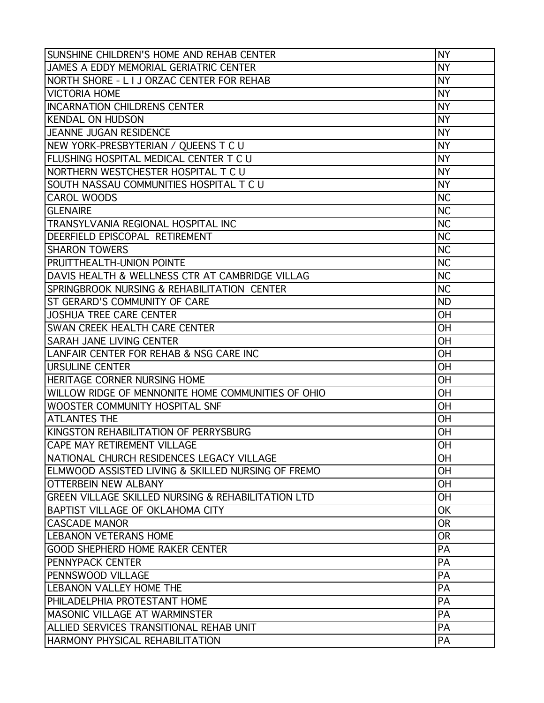| SUNSHINE CHILDREN'S HOME AND REHAB CENTER          | <b>NY</b> |
|----------------------------------------------------|-----------|
| JAMES A EDDY MEMORIAL GERIATRIC CENTER             | <b>NY</b> |
| NORTH SHORE - L I J ORZAC CENTER FOR REHAB         | <b>NY</b> |
| <b>VICTORIA HOME</b>                               | <b>NY</b> |
| <b>INCARNATION CHILDRENS CENTER</b>                | <b>NY</b> |
| <b>KENDAL ON HUDSON</b>                            | <b>NY</b> |
| JEANNE JUGAN RESIDENCE                             | <b>NY</b> |
| NEW YORK-PRESBYTERIAN / QUEENS T C U               | <b>NY</b> |
| FLUSHING HOSPITAL MEDICAL CENTER T C U             | <b>NY</b> |
| NORTHERN WESTCHESTER HOSPITAL T C U                | <b>NY</b> |
| SOUTH NASSAU COMMUNITIES HOSPITAL T C U            | <b>NY</b> |
| <b>CAROL WOODS</b>                                 | <b>NC</b> |
| <b>GLENAIRE</b>                                    | <b>NC</b> |
| <b>TRANSYLVANIA REGIONAL HOSPITAL INC</b>          | <b>NC</b> |
| DEERFIELD EPISCOPAL RETIREMENT                     | <b>NC</b> |
| <b>SHARON TOWERS</b>                               | <b>NC</b> |
| <b>PRUITTHEALTH-UNION POINTE</b>                   | <b>NC</b> |
| DAVIS HEALTH & WELLNESS CTR AT CAMBRIDGE VILLAG    | <b>NC</b> |
| SPRINGBROOK NURSING & REHABILITATION CENTER        | <b>NC</b> |
| ST GERARD'S COMMUNITY OF CARE                      | <b>ND</b> |
| <b>JOSHUA TREE CARE CENTER</b>                     | <b>OH</b> |
| <b>SWAN CREEK HEALTH CARE CENTER</b>               | <b>OH</b> |
| <b>SARAH JANE LIVING CENTER</b>                    | <b>OH</b> |
| LANFAIR CENTER FOR REHAB & NSG CARE INC            | <b>OH</b> |
| <b>URSULINE CENTER</b>                             | <b>OH</b> |
| <b>HERITAGE CORNER NURSING HOME</b>                | <b>OH</b> |
| WILLOW RIDGE OF MENNONITE HOME COMMUNITIES OF OHIO | <b>OH</b> |
| WOOSTER COMMUNITY HOSPITAL SNF                     | <b>OH</b> |
| <b>ATLANTES THE</b>                                | OH        |
| KINGSTON REHABILITATION OF PERRYSBURG              | <b>OH</b> |
| <b>CAPE MAY RETIREMENT VILLAGE</b>                 | OH        |
| INATIONAL CHURCH RESIDENCES LEGACY VILLAGE         | <b>OH</b> |
| ELMWOOD ASSISTED LIVING & SKILLED NURSING OF FREMO | <b>OH</b> |
| <b>OTTERBEIN NEW ALBANY</b>                        | <b>OH</b> |
| GREEN VILLAGE SKILLED NURSING & REHABILITATION LTD | <b>OH</b> |
| BAPTIST VILLAGE OF OKLAHOMA CITY                   | <b>OK</b> |
| ICASCADE MANOR                                     | <b>OR</b> |
| <b>LEBANON VETERANS HOME</b>                       | <b>OR</b> |
| GOOD SHEPHERD HOME RAKER CENTER                    | PA        |
| <b>IPENNYPACK CENTER</b>                           | PA        |
| PENNSWOOD VILLAGE                                  | PA        |
| <b>LEBANON VALLEY HOME THE</b>                     | PA        |
| PHILADELPHIA PROTESTANT HOME                       | PA        |
| IMASONIC VILLAGE AT WARMINSTER                     | PA        |
| ALLIED SERVICES TRANSITIONAL REHAB UNIT            | PA        |
| <b>HARMONY PHYSICAL REHABILITATION</b>             | PA        |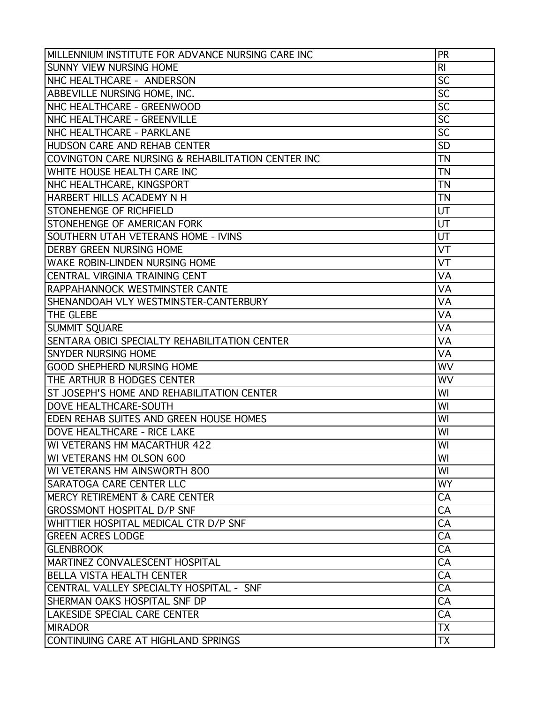| MILLENNIUM INSTITUTE FOR ADVANCE NURSING CARE INC  | PR              |
|----------------------------------------------------|-----------------|
| <b>SUNNY VIEW NURSING HOME</b>                     | R <sub>l</sub>  |
| NHC HEALTHCARE - ANDERSON                          | $\overline{SC}$ |
| ABBEVILLE NURSING HOME, INC.                       | SC              |
| NHC HEALTHCARE - GREENWOOD                         | SC              |
| NHC HEALTHCARE - GREENVILLE                        | SC              |
| NHC HEALTHCARE - PARKLANE                          | $\overline{SC}$ |
| HUDSON CARE AND REHAB CENTER                       | <b>SD</b>       |
| COVINGTON CARE NURSING & REHABILITATION CENTER INC | <b>TN</b>       |
| WHITE HOUSE HEALTH CARE INC                        | <b>TN</b>       |
| NHC HEALTHCARE, KINGSPORT                          | <b>TN</b>       |
| HARBERT HILLS ACADEMY N H                          | <b>TN</b>       |
| STONEHENGE OF RICHFIELD                            | UT              |
| STONEHENGE OF AMERICAN FORK                        | UT              |
| <b>SOUTHERN UTAH VETERANS HOME - IVINS</b>         | UT              |
| <b>DERBY GREEN NURSING HOME</b>                    | VT              |
| WAKE ROBIN-LINDEN NURSING HOME                     | VT              |
| CENTRAL VIRGINIA TRAINING CENT                     | VA              |
| RAPPAHANNOCK WESTMINSTER CANTE                     | VA              |
| SHENANDOAH VLY WESTMINSTER-CANTERBURY              | VA              |
| THE GLEBE                                          | VA              |
| <b>SUMMIT SQUARE</b>                               | VA              |
| SENTARA OBICI SPECIALTY REHABILITATION CENTER      | VA              |
| <b>SNYDER NURSING HOME</b>                         | VA              |
| <b>GOOD SHEPHERD NURSING HOME</b>                  | WV              |
| THE ARTHUR B HODGES CENTER                         | WV              |
| ST JOSEPH'S HOME AND REHABILITATION CENTER         | WI              |
| <b>DOVE HEALTHCARE-SOUTH</b>                       | WI              |
| <b>EDEN REHAB SUITES AND GREEN HOUSE HOMES</b>     | WI              |
| DOVE HEALTHCARE - RICE LAKE                        | WI              |
| WI VETERANS HM MACARTHUR 422                       | WI              |
| WI VETERANS HM OLSON 600                           | WI              |
| WI VETERANS HM AINSWORTH 800                       | WI              |
| SARATOGA CARE CENTER LLC                           | <b>WY</b>       |
| <b>MERCY RETIREMENT &amp; CARE CENTER</b>          | CA              |
| <b>GROSSMONT HOSPITAL D/P SNF</b>                  | CA              |
| WHITTIER HOSPITAL MEDICAL CTR D/P SNF              | CA              |
| <b>GREEN ACRES LODGE</b>                           | CA              |
| <b>GLENBROOK</b>                                   | CA              |
| MARTINEZ CONVALESCENT HOSPITAL                     | CA              |
| <b>BELLA VISTA HEALTH CENTER</b>                   | CA              |
| CENTRAL VALLEY SPECIALTY HOSPITAL - SNF            | CA              |
| SHERMAN OAKS HOSPITAL SNF DP                       | CA              |
| ILAKESIDE SPECIAL CARE CENTER                      | CA              |
| <b>MIRADOR</b>                                     | <b>TX</b>       |
| CONTINUING CARE AT HIGHLAND SPRINGS                | TX              |